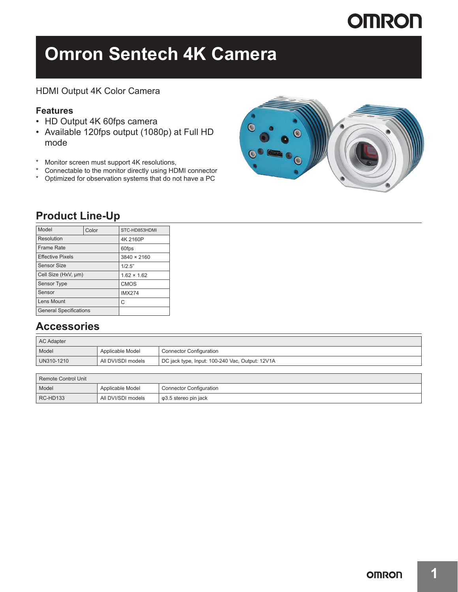# **OMRON**

# **Omron Sentech 4K Camera**

### HDMI Output 4K Color Camera

### **Features**

- HD Output 4K 60fps camera
- Available 120fps output (1080p) at Full HD mode
- \* Monitor screen must support 4K resolutions,<br>\* Connectable to the monitor directly using HD
- Connectable to the monitor directly using HDMI connector
- \* Optimized for observation systems that do not have a PC



### **Product Line-Up**

| Model                         | Color    | STC-HD853HDMI      |
|-------------------------------|----------|--------------------|
| Resolution                    | 4K 2160P |                    |
| <b>Frame Rate</b>             |          | 60fps              |
| <b>Effective Pixels</b>       |          | 3840 × 2160        |
| Sensor Size                   |          | 1/2.5"             |
| Cell Size (HxV, µm)           |          | $1.62 \times 1.62$ |
| <b>Sensor Type</b>            |          | <b>CMOS</b>        |
| Sensor                        |          | <b>IMX274</b>      |
| Lens Mount                    | С        |                    |
| <b>General Specifications</b> |          |                    |

### **Accessories**

| AC Adapter |                    |                                                 |  |
|------------|--------------------|-------------------------------------------------|--|
| Model      | Applicable Model   | <b>Connector Configuration</b>                  |  |
| UN310-1210 | All DVI/SDI models | DC jack type, Input: 100-240 Vac, Output: 12V1A |  |

| Remote Control Unit |                    |                                |  |
|---------------------|--------------------|--------------------------------|--|
| Model               | Applicable Model   | <b>Connector Configuration</b> |  |
| <b>RC-HD133</b>     | All DVI/SDI models | φ3.5 stereo pin jack           |  |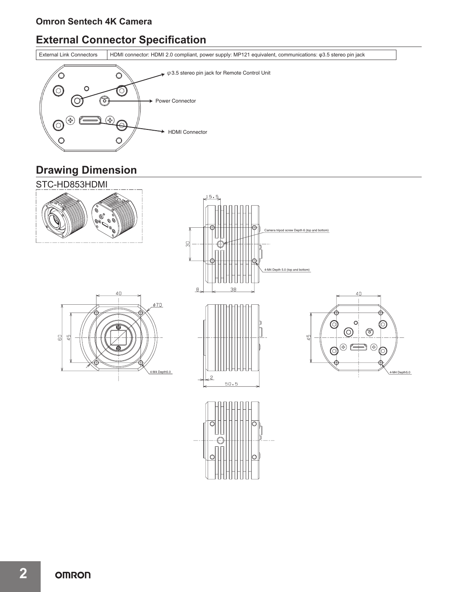## **External Connector Specification**

External Link Connectors HDMI connector: HDMI 2.0 compliant, power supply: MP121 equivalent, communications: φ3.5 stereo pin jack



## **Drawing Dimension**



**2**